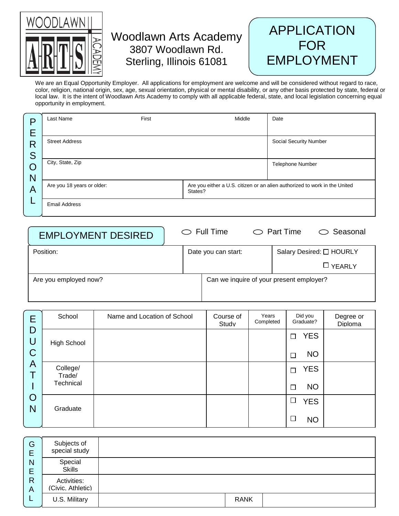

## Woodlawn Arts Academy 3807 Woodlawn Rd. Sterling, Illinois 61081



We are an Equal Opportunity Employer. All applications for employment are welcome and will be considered without regard to race, color, religion, national origin, sex, age, sexual orientation, physical or mental disability, or any other basis protected by state, federal or local law. It is the intent of Woodlawn Arts Academy to comply with all applicable federal, state, and local legislation concerning equal opportunity in employment.

| ◘ | Last Name                             | First | Middle | Date                                                                       |
|---|---------------------------------------|-------|--------|----------------------------------------------------------------------------|
| Е |                                       |       |        |                                                                            |
| R | <b>Street Address</b>                 |       |        | <b>Social Security Number</b>                                              |
| S |                                       |       |        |                                                                            |
| Ő | City, State, Zip                      |       |        | Telephone Number                                                           |
| N |                                       |       |        |                                                                            |
| A | Are you 18 years or older:<br>States? |       |        | Are you either a U.S. citizen or an alien authorized to work in the United |
|   | <b>Email Address</b>                  |       |        |                                                                            |

| <b>EMPLOYMENT DESIRED</b> |  | $\circ$ Full Time                        |  | $\circlearrowright$ Part Time | $\circ$ Seasonal |
|---------------------------|--|------------------------------------------|--|-------------------------------|------------------|
| Position:                 |  | Date you can start:                      |  | Salary Desired: □ HOURLY      |                  |
|                           |  |                                          |  |                               | $\Box$ YEARLY    |
| Are you employed now?     |  | Can we inquire of your present employer? |  |                               |                  |
|                           |  |                                          |  |                               |                  |

| Е                | School             | Name and Location of School | Course of<br>Studv | Years<br>Completed | Did you<br>Graduate? | Degree or<br>Diploma |
|------------------|--------------------|-----------------------------|--------------------|--------------------|----------------------|----------------------|
| D<br>U           | High School        |                             |                    |                    | <b>YES</b><br>┓      |                      |
| $\mathsf C$      |                    |                             |                    |                    | <b>NO</b>            |                      |
| A<br>т<br>O<br>N | College/<br>Trade/ |                             |                    |                    | <b>YES</b><br>┑      |                      |
|                  | Technical          |                             |                    |                    | <b>NO</b><br>┍       |                      |
|                  | Graduate           |                             |                    |                    | <b>YES</b><br>□      |                      |
|                  |                    |                             |                    |                    | <b>NO</b>            |                      |

| G<br>Е           | Subjects of<br>special study     |             |  |
|------------------|----------------------------------|-------------|--|
| N<br>E<br>R<br>А | Special<br><b>Skills</b>         |             |  |
|                  | Activities:<br>(Civic. Athletic) |             |  |
|                  | U.S. Military                    | <b>RANK</b> |  |